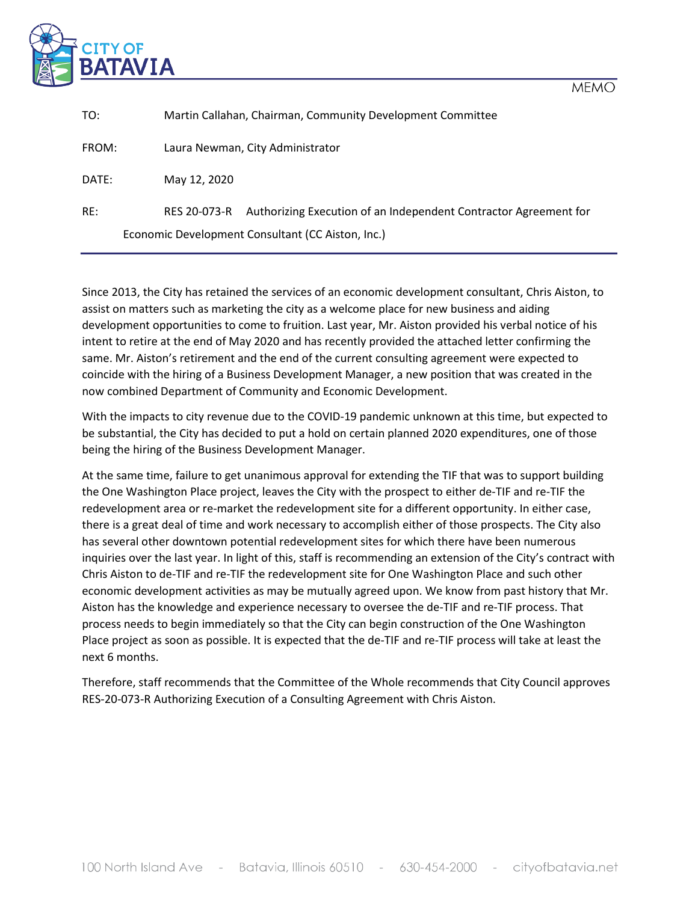

| TO:                                               | Martin Callahan, Chairman, Community Development Committee                       |  |  |  |  |  |  |
|---------------------------------------------------|----------------------------------------------------------------------------------|--|--|--|--|--|--|
| FROM:                                             | Laura Newman, City Administrator                                                 |  |  |  |  |  |  |
| DATE:                                             | May 12, 2020                                                                     |  |  |  |  |  |  |
| RE:                                               | Authorizing Execution of an Independent Contractor Agreement for<br>RES 20-073-R |  |  |  |  |  |  |
| Economic Development Consultant (CC Aiston, Inc.) |                                                                                  |  |  |  |  |  |  |

Since 2013, the City has retained the services of an economic development consultant, Chris Aiston, to assist on matters such as marketing the city as a welcome place for new business and aiding development opportunities to come to fruition. Last year, Mr. Aiston provided his verbal notice of his intent to retire at the end of May 2020 and has recently provided the attached letter confirming the same. Mr. Aiston's retirement and the end of the current consulting agreement were expected to coincide with the hiring of a Business Development Manager, a new position that was created in the now combined Department of Community and Economic Development.

With the impacts to city revenue due to the COVID-19 pandemic unknown at this time, but expected to be substantial, the City has decided to put a hold on certain planned 2020 expenditures, one of those being the hiring of the Business Development Manager.

At the same time, failure to get unanimous approval for extending the TIF that was to support building the One Washington Place project, leaves the City with the prospect to either de-TIF and re-TIF the redevelopment area or re-market the redevelopment site for a different opportunity. In either case, there is a great deal of time and work necessary to accomplish either of those prospects. The City also has several other downtown potential redevelopment sites for which there have been numerous inquiries over the last year. In light of this, staff is recommending an extension of the City's contract with Chris Aiston to de-TIF and re-TIF the redevelopment site for One Washington Place and such other economic development activities as may be mutually agreed upon. We know from past history that Mr. Aiston has the knowledge and experience necessary to oversee the de-TIF and re-TIF process. That process needs to begin immediately so that the City can begin construction of the One Washington Place project as soon as possible. It is expected that the de-TIF and re-TIF process will take at least the next 6 months.

Therefore, staff recommends that the Committee of the Whole recommends that City Council approves RES-20-073-R Authorizing Execution of a Consulting Agreement with Chris Aiston.

**MEMO**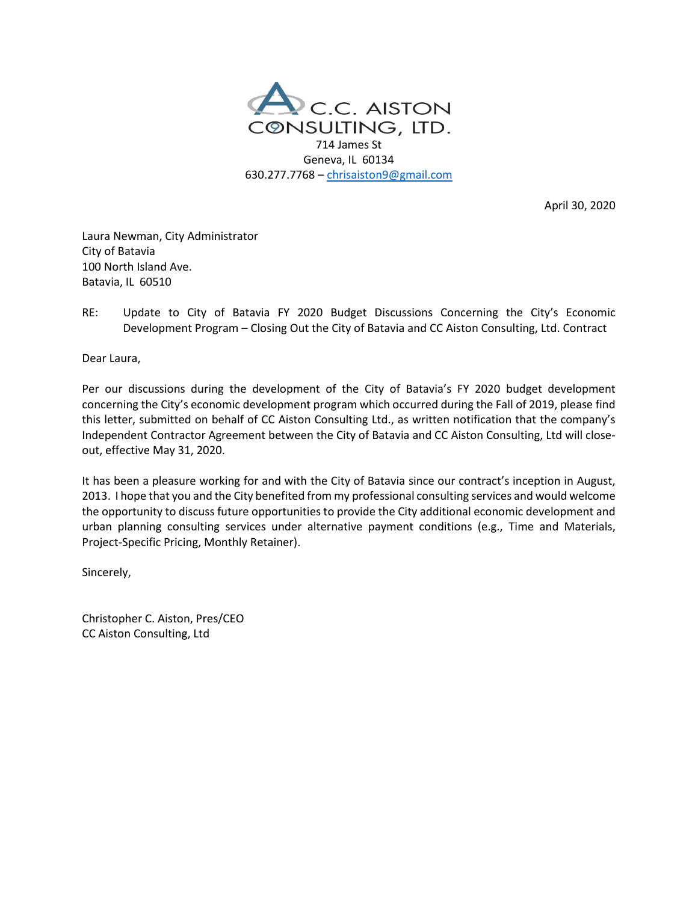

April 30, 2020

Laura Newman, City Administrator City of Batavia 100 North Island Ave. Batavia, IL 60510

RE: Update to City of Batavia FY 2020 Budget Discussions Concerning the City's Economic Development Program – Closing Out the City of Batavia and CC Aiston Consulting, Ltd. Contract

Dear Laura,

Per our discussions during the development of the City of Batavia's FY 2020 budget development concerning the City's economic development program which occurred during the Fall of 2019, please find this letter, submitted on behalf of CC Aiston Consulting Ltd., as written notification that the company's Independent Contractor Agreement between the City of Batavia and CC Aiston Consulting, Ltd will closeout, effective May 31, 2020.

It has been a pleasure working for and with the City of Batavia since our contract's inception in August, 2013. I hope that you and the City benefited from my professional consulting services and would welcome the opportunity to discuss future opportunities to provide the City additional economic development and urban planning consulting services under alternative payment conditions (e.g., Time and Materials, Project-Specific Pricing, Monthly Retainer).

Sincerely,

Christopher C. Aiston, Pres/CEO CC Aiston Consulting, Ltd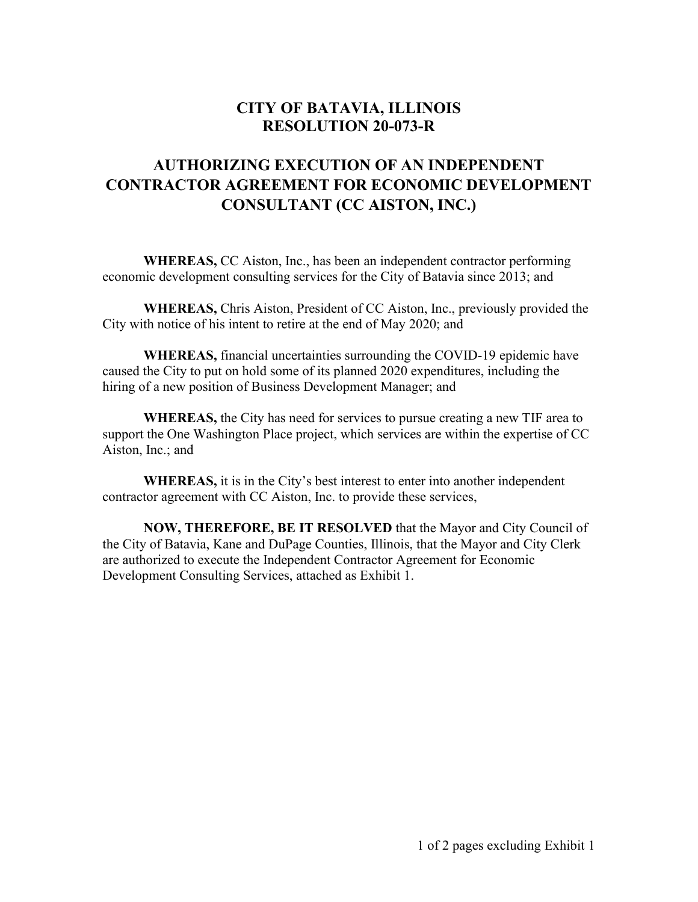# **CITY OF BATAVIA, ILLINOIS RESOLUTION 20-073-R**

# **AUTHORIZING EXECUTION OF AN INDEPENDENT CONTRACTOR AGREEMENT FOR ECONOMIC DEVELOPMENT CONSULTANT (CC AISTON, INC.)**

**WHEREAS,** CC Aiston, Inc., has been an independent contractor performing economic development consulting services for the City of Batavia since 2013; and

**WHEREAS,** Chris Aiston, President of CC Aiston, Inc., previously provided the City with notice of his intent to retire at the end of May 2020; and

**WHEREAS,** financial uncertainties surrounding the COVID-19 epidemic have caused the City to put on hold some of its planned 2020 expenditures, including the hiring of a new position of Business Development Manager; and

**WHEREAS,** the City has need for services to pursue creating a new TIF area to support the One Washington Place project, which services are within the expertise of CC Aiston, Inc.; and

**WHEREAS,** it is in the City's best interest to enter into another independent contractor agreement with CC Aiston, Inc. to provide these services,

**NOW, THEREFORE, BE IT RESOLVED** that the Mayor and City Council of the City of Batavia, Kane and DuPage Counties, Illinois, that the Mayor and City Clerk are authorized to execute the Independent Contractor Agreement for Economic Development Consulting Services, attached as Exhibit 1.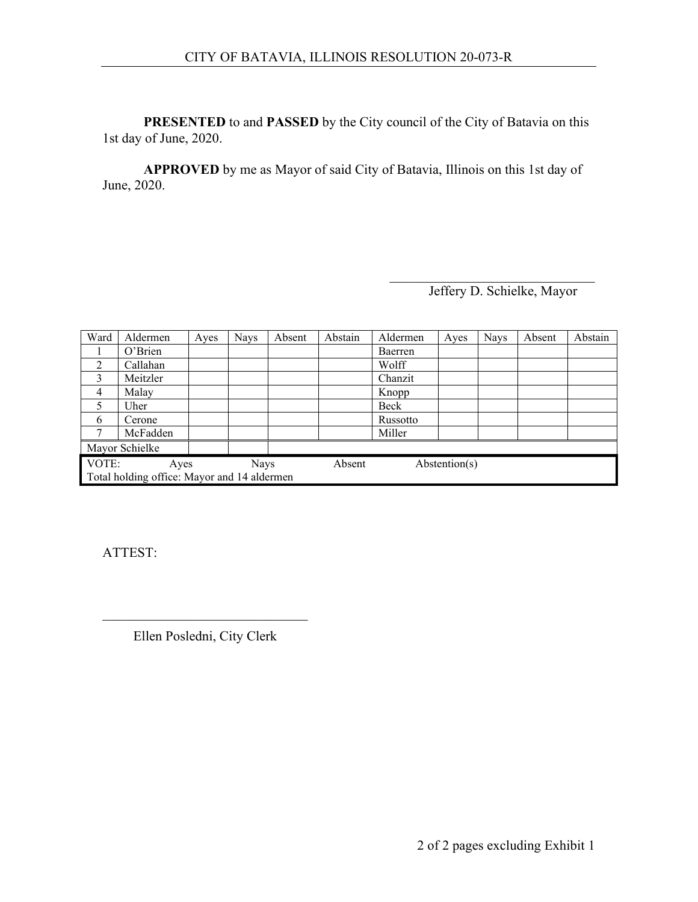**PRESENTED** to and **PASSED** by the City council of the City of Batavia on this 1st day of June, 2020.

**APPROVED** by me as Mayor of said City of Batavia, Illinois on this 1st day of June, 2020.

Jeffery D. Schielke, Mayor

| Ward                                        | Aldermen | Ayes | <b>Nays</b> | Absent | Abstain | Aldermen | Ayes          | <b>Nays</b> | Absent | Abstain |
|---------------------------------------------|----------|------|-------------|--------|---------|----------|---------------|-------------|--------|---------|
|                                             | O'Brien  |      |             |        |         | Baerren  |               |             |        |         |
| 2                                           | Callahan |      |             |        |         | Wolff    |               |             |        |         |
| 3                                           | Meitzler |      |             |        |         | Chanzit  |               |             |        |         |
| $\overline{4}$                              | Malay    |      |             |        |         | Knopp    |               |             |        |         |
| 5                                           | Uher     |      |             |        |         | Beck     |               |             |        |         |
| 6                                           | Cerone   |      |             |        |         | Russotto |               |             |        |         |
| 7                                           | McFadden |      |             |        |         | Miller   |               |             |        |         |
| Mayor Schielke                              |          |      |             |        |         |          |               |             |        |         |
| VOTE:                                       | Ayes     |      | <b>Nays</b> |        | Absent  |          | Abstention(s) |             |        |         |
| Total holding office: Mayor and 14 aldermen |          |      |             |        |         |          |               |             |        |         |

ATTEST:

\_\_\_\_\_\_\_\_\_\_\_\_\_\_\_\_\_\_\_\_\_\_\_\_\_\_\_\_\_\_ Ellen Posledni, City Clerk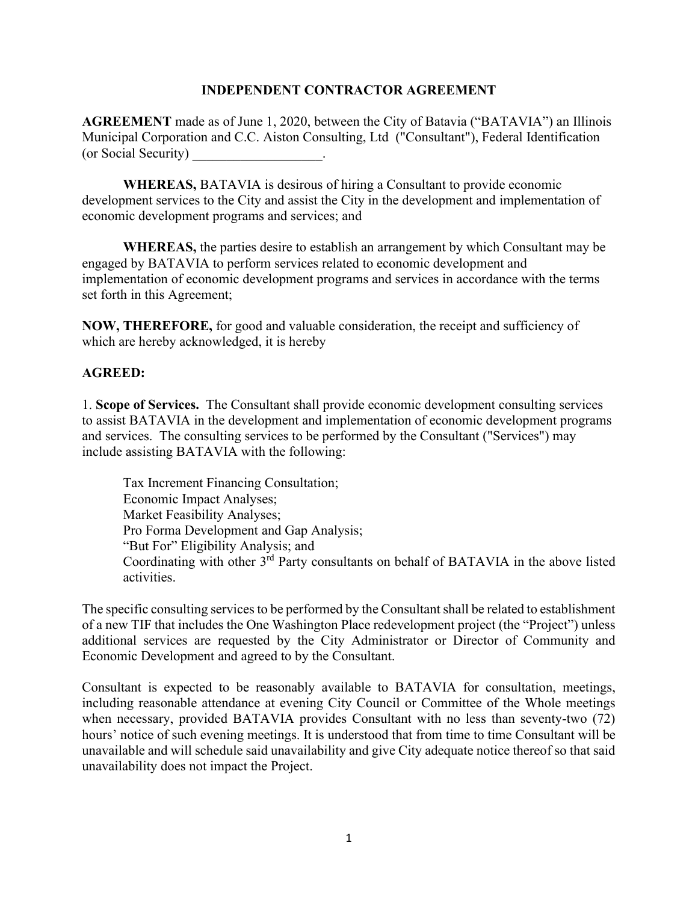#### **INDEPENDENT CONTRACTOR AGREEMENT**

**AGREEMENT** made as of June 1, 2020, between the City of Batavia ("BATAVIA") an Illinois Municipal Corporation and C.C. Aiston Consulting, Ltd ("Consultant"), Federal Identification (or Social Security) \_\_\_\_\_\_\_\_\_\_\_\_\_\_\_\_\_\_\_.

**WHEREAS,** BATAVIA is desirous of hiring a Consultant to provide economic development services to the City and assist the City in the development and implementation of economic development programs and services; and

**WHEREAS,** the parties desire to establish an arrangement by which Consultant may be engaged by BATAVIA to perform services related to economic development and implementation of economic development programs and services in accordance with the terms set forth in this Agreement;

**NOW, THEREFORE,** for good and valuable consideration, the receipt and sufficiency of which are hereby acknowledged, it is hereby

## **AGREED:**

1. **Scope of Services.** The Consultant shall provide economic development consulting services to assist BATAVIA in the development and implementation of economic development programs and services. The consulting services to be performed by the Consultant ("Services") may include assisting BATAVIA with the following:

Tax Increment Financing Consultation; Economic Impact Analyses; Market Feasibility Analyses; Pro Forma Development and Gap Analysis; "But For" Eligibility Analysis; and Coordinating with other 3<sup>rd</sup> Party consultants on behalf of BATAVIA in the above listed activities.

The specific consulting services to be performed by the Consultant shall be related to establishment of a new TIF that includes the One Washington Place redevelopment project (the "Project") unless additional services are requested by the City Administrator or Director of Community and Economic Development and agreed to by the Consultant.

Consultant is expected to be reasonably available to BATAVIA for consultation, meetings, including reasonable attendance at evening City Council or Committee of the Whole meetings when necessary, provided BATAVIA provides Consultant with no less than seventy-two (72) hours' notice of such evening meetings. It is understood that from time to time Consultant will be unavailable and will schedule said unavailability and give City adequate notice thereof so that said unavailability does not impact the Project.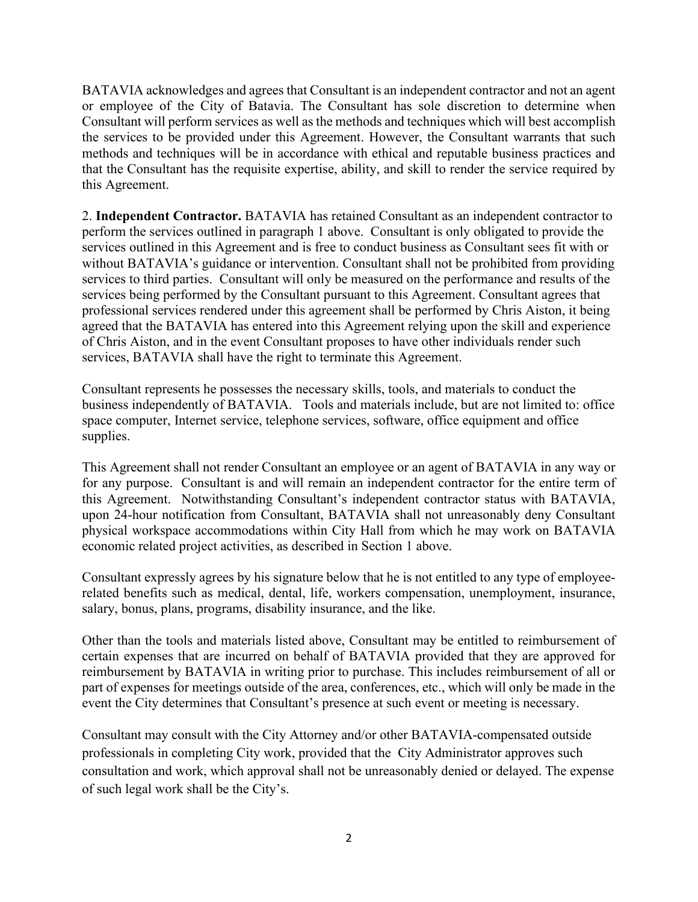BATAVIA acknowledges and agrees that Consultant is an independent contractor and not an agent or employee of the City of Batavia. The Consultant has sole discretion to determine when Consultant will perform services as well as the methods and techniques which will best accomplish the services to be provided under this Agreement. However, the Consultant warrants that such methods and techniques will be in accordance with ethical and reputable business practices and that the Consultant has the requisite expertise, ability, and skill to render the service required by this Agreement.

2. **Independent Contractor.** BATAVIA has retained Consultant as an independent contractor to perform the services outlined in paragraph 1 above. Consultant is only obligated to provide the services outlined in this Agreement and is free to conduct business as Consultant sees fit with or without BATAVIA's guidance or intervention. Consultant shall not be prohibited from providing services to third parties. Consultant will only be measured on the performance and results of the services being performed by the Consultant pursuant to this Agreement. Consultant agrees that professional services rendered under this agreement shall be performed by Chris Aiston, it being agreed that the BATAVIA has entered into this Agreement relying upon the skill and experience of Chris Aiston, and in the event Consultant proposes to have other individuals render such services, BATAVIA shall have the right to terminate this Agreement.

Consultant represents he possesses the necessary skills, tools, and materials to conduct the business independently of BATAVIA. Tools and materials include, but are not limited to: office space computer, Internet service, telephone services, software, office equipment and office supplies.

This Agreement shall not render Consultant an employee or an agent of BATAVIA in any way or for any purpose. Consultant is and will remain an independent contractor for the entire term of this Agreement. Notwithstanding Consultant's independent contractor status with BATAVIA, upon 24-hour notification from Consultant, BATAVIA shall not unreasonably deny Consultant physical workspace accommodations within City Hall from which he may work on BATAVIA economic related project activities, as described in Section 1 above.

Consultant expressly agrees by his signature below that he is not entitled to any type of employeerelated benefits such as medical, dental, life, workers compensation, unemployment, insurance, salary, bonus, plans, programs, disability insurance, and the like.

Other than the tools and materials listed above, Consultant may be entitled to reimbursement of certain expenses that are incurred on behalf of BATAVIA provided that they are approved for reimbursement by BATAVIA in writing prior to purchase. This includes reimbursement of all or part of expenses for meetings outside of the area, conferences, etc., which will only be made in the event the City determines that Consultant's presence at such event or meeting is necessary.

Consultant may consult with the City Attorney and/or other BATAVIA-compensated outside professionals in completing City work, provided that the City Administrator approves such consultation and work, which approval shall not be unreasonably denied or delayed. The expense of such legal work shall be the City's.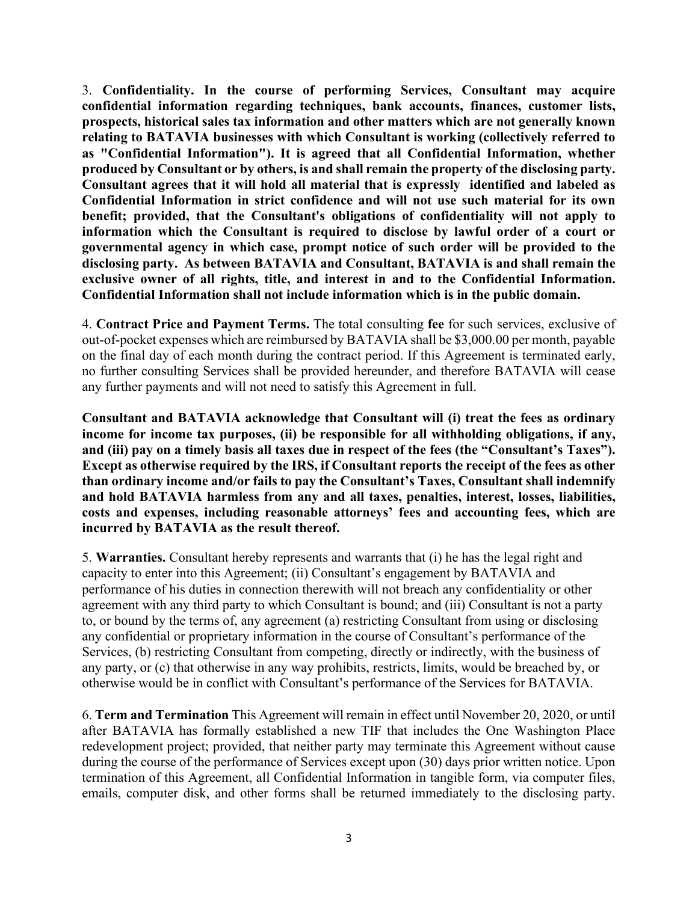3. **Confidentiality. In the course of performing Services, Consultant may acquire confidential information regarding techniques, bank accounts, finances, customer lists, prospects, historical sales tax information and other matters which are not generally known relating to BATAVIA businesses with which Consultant is working (collectively referred to as "Confidential Information"). It is agreed that all Confidential Information, whether produced by Consultant or by others, is and shall remain the property of the disclosing party. Consultant agrees that it will hold all material that is expressly identified and labeled as Confidential Information in strict confidence and will not use such material for its own benefit; provided, that the Consultant's obligations of confidentiality will not apply to information which the Consultant is required to disclose by lawful order of a court or governmental agency in which case, prompt notice of such order will be provided to the disclosing party. As between BATAVIA and Consultant, BATAVIA is and shall remain the exclusive owner of all rights, title, and interest in and to the Confidential Information. Confidential Information shall not include information which is in the public domain.** 

4. **Contract Price and Payment Terms.** The total consulting **fee** for such services, exclusive of out-of-pocket expenses which are reimbursed by BATAVIA shall be \$3,000.00 per month, payable on the final day of each month during the contract period. If this Agreement is terminated early, no further consulting Services shall be provided hereunder, and therefore BATAVIA will cease any further payments and will not need to satisfy this Agreement in full.

**Consultant and BATAVIA acknowledge that Consultant will (i) treat the fees as ordinary income for income tax purposes, (ii) be responsible for all withholding obligations, if any, and (iii) pay on a timely basis all taxes due in respect of the fees (the "Consultant's Taxes"). Except as otherwise required by the IRS, if Consultant reports the receipt of the fees as other than ordinary income and/or fails to pay the Consultant's Taxes, Consultant shall indemnify and hold BATAVIA harmless from any and all taxes, penalties, interest, losses, liabilities, costs and expenses, including reasonable attorneys' fees and accounting fees, which are incurred by BATAVIA as the result thereof.** 

5. **Warranties.** Consultant hereby represents and warrants that (i) he has the legal right and capacity to enter into this Agreement; (ii) Consultant's engagement by BATAVIA and performance of his duties in connection therewith will not breach any confidentiality or other agreement with any third party to which Consultant is bound; and (iii) Consultant is not a party to, or bound by the terms of, any agreement (a) restricting Consultant from using or disclosing any confidential or proprietary information in the course of Consultant's performance of the Services, (b) restricting Consultant from competing, directly or indirectly, with the business of any party, or (c) that otherwise in any way prohibits, restricts, limits, would be breached by, or otherwise would be in conflict with Consultant's performance of the Services for BATAVIA.

6. **Term and Termination** This Agreement will remain in effect until November 20, 2020, or until after BATAVIA has formally established a new TIF that includes the One Washington Place redevelopment project; provided, that neither party may terminate this Agreement without cause during the course of the performance of Services except upon (30) days prior written notice. Upon termination of this Agreement, all Confidential Information in tangible form, via computer files, emails, computer disk, and other forms shall be returned immediately to the disclosing party.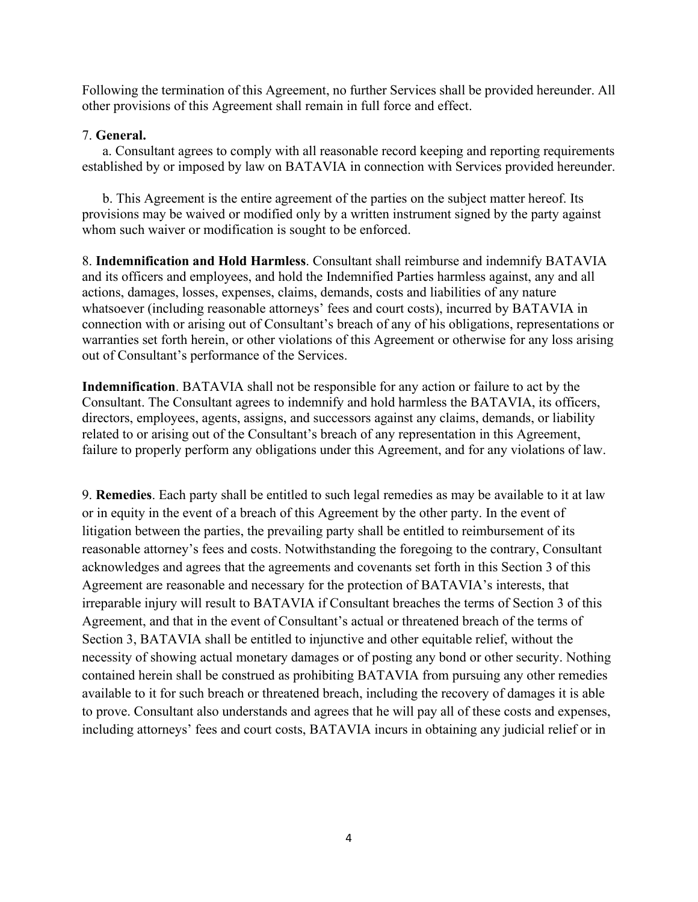Following the termination of this Agreement, no further Services shall be provided hereunder. All other provisions of this Agreement shall remain in full force and effect.

#### 7. **General.**

a. Consultant agrees to comply with all reasonable record keeping and reporting requirements established by or imposed by law on BATAVIA in connection with Services provided hereunder.

b. This Agreement is the entire agreement of the parties on the subject matter hereof. Its provisions may be waived or modified only by a written instrument signed by the party against whom such waiver or modification is sought to be enforced.

8. **Indemnification and Hold Harmless**. Consultant shall reimburse and indemnify BATAVIA and its officers and employees, and hold the Indemnified Parties harmless against, any and all actions, damages, losses, expenses, claims, demands, costs and liabilities of any nature whatsoever (including reasonable attorneys' fees and court costs), incurred by BATAVIA in connection with or arising out of Consultant's breach of any of his obligations, representations or warranties set forth herein, or other violations of this Agreement or otherwise for any loss arising out of Consultant's performance of the Services.

**Indemnification**. BATAVIA shall not be responsible for any action or failure to act by the Consultant. The Consultant agrees to indemnify and hold harmless the BATAVIA, its officers, directors, employees, agents, assigns, and successors against any claims, demands, or liability related to or arising out of the Consultant's breach of any representation in this Agreement, failure to properly perform any obligations under this Agreement, and for any violations of law.

9. **Remedies**. Each party shall be entitled to such legal remedies as may be available to it at law or in equity in the event of a breach of this Agreement by the other party. In the event of litigation between the parties, the prevailing party shall be entitled to reimbursement of its reasonable attorney's fees and costs. Notwithstanding the foregoing to the contrary, Consultant acknowledges and agrees that the agreements and covenants set forth in this Section 3 of this Agreement are reasonable and necessary for the protection of BATAVIA's interests, that irreparable injury will result to BATAVIA if Consultant breaches the terms of Section 3 of this Agreement, and that in the event of Consultant's actual or threatened breach of the terms of Section 3, BATAVIA shall be entitled to injunctive and other equitable relief, without the necessity of showing actual monetary damages or of posting any bond or other security. Nothing contained herein shall be construed as prohibiting BATAVIA from pursuing any other remedies available to it for such breach or threatened breach, including the recovery of damages it is able to prove. Consultant also understands and agrees that he will pay all of these costs and expenses, including attorneys' fees and court costs, BATAVIA incurs in obtaining any judicial relief or in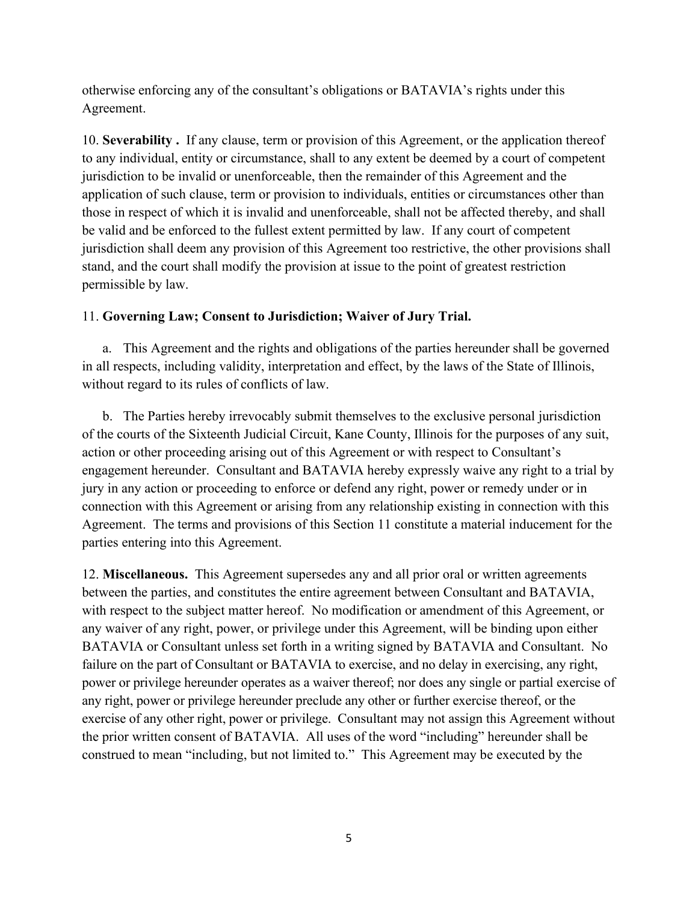otherwise enforcing any of the consultant's obligations or BATAVIA's rights under this Agreement.

10. **Severability .** If any clause, term or provision of this Agreement, or the application thereof to any individual, entity or circumstance, shall to any extent be deemed by a court of competent jurisdiction to be invalid or unenforceable, then the remainder of this Agreement and the application of such clause, term or provision to individuals, entities or circumstances other than those in respect of which it is invalid and unenforceable, shall not be affected thereby, and shall be valid and be enforced to the fullest extent permitted by law. If any court of competent jurisdiction shall deem any provision of this Agreement too restrictive, the other provisions shall stand, and the court shall modify the provision at issue to the point of greatest restriction permissible by law.

## 11. **Governing Law; Consent to Jurisdiction; Waiver of Jury Trial.**

a. This Agreement and the rights and obligations of the parties hereunder shall be governed in all respects, including validity, interpretation and effect, by the laws of the State of Illinois, without regard to its rules of conflicts of law.

b. The Parties hereby irrevocably submit themselves to the exclusive personal jurisdiction of the courts of the Sixteenth Judicial Circuit, Kane County, Illinois for the purposes of any suit, action or other proceeding arising out of this Agreement or with respect to Consultant's engagement hereunder. Consultant and BATAVIA hereby expressly waive any right to a trial by jury in any action or proceeding to enforce or defend any right, power or remedy under or in connection with this Agreement or arising from any relationship existing in connection with this Agreement. The terms and provisions of this Section 11 constitute a material inducement for the parties entering into this Agreement.

12. **Miscellaneous.** This Agreement supersedes any and all prior oral or written agreements between the parties, and constitutes the entire agreement between Consultant and BATAVIA, with respect to the subject matter hereof. No modification or amendment of this Agreement, or any waiver of any right, power, or privilege under this Agreement, will be binding upon either BATAVIA or Consultant unless set forth in a writing signed by BATAVIA and Consultant. No failure on the part of Consultant or BATAVIA to exercise, and no delay in exercising, any right, power or privilege hereunder operates as a waiver thereof; nor does any single or partial exercise of any right, power or privilege hereunder preclude any other or further exercise thereof, or the exercise of any other right, power or privilege. Consultant may not assign this Agreement without the prior written consent of BATAVIA. All uses of the word "including" hereunder shall be construed to mean "including, but not limited to." This Agreement may be executed by the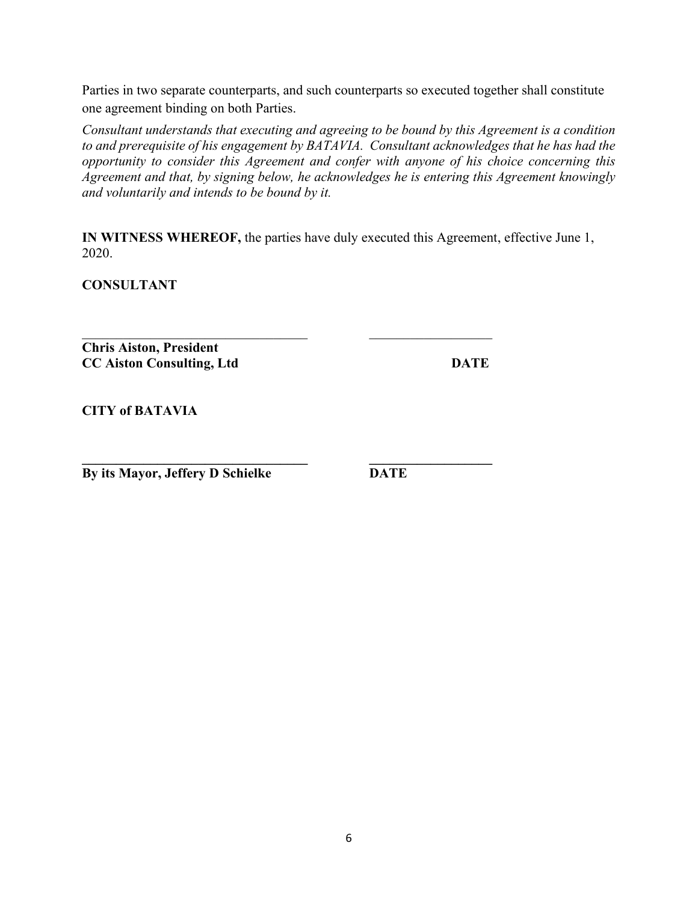Parties in two separate counterparts, and such counterparts so executed together shall constitute one agreement binding on both Parties.

*Consultant understands that executing and agreeing to be bound by this Agreement is a condition to and prerequisite of his engagement by BATAVIA. Consultant acknowledges that he has had the opportunity to consider this Agreement and confer with anyone of his choice concerning this Agreement and that, by signing below, he acknowledges he is entering this Agreement knowingly and voluntarily and intends to be bound by it.*

**IN WITNESS WHEREOF,** the parties have duly executed this Agreement, effective June 1, 2020.

\_\_\_\_\_\_\_\_\_\_\_\_\_\_\_\_\_\_\_\_\_\_\_\_\_\_\_\_\_\_\_\_\_ \_\_\_\_\_\_\_\_\_\_\_\_\_\_\_\_\_\_

**CONSULTANT**

**Chris Aiston, President CC Aiston Consulting, Ltd DATE** 

**CITY of BATAVIA**

**\_\_\_\_\_\_\_\_\_\_\_\_\_\_\_\_\_\_\_\_\_\_\_\_\_\_\_\_\_\_\_\_\_ \_\_\_\_\_\_\_\_\_\_\_\_\_\_\_\_\_\_ By its Mayor, Jeffery D Schielke DATE**